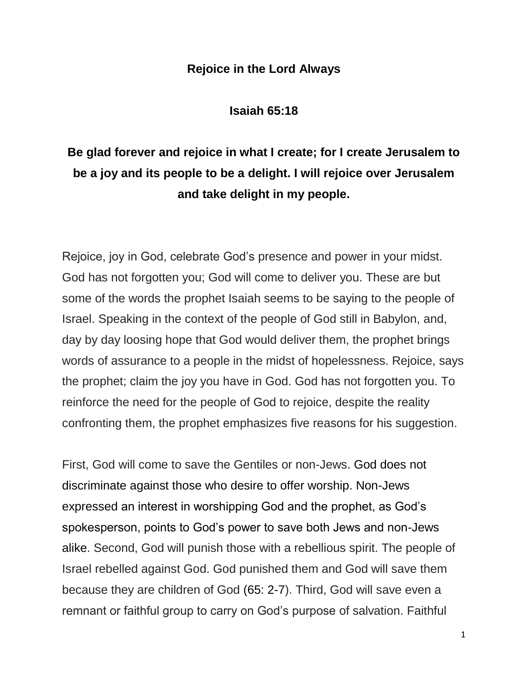## **Rejoice in the Lord Always**

**Isaiah 65:18**

## **Be glad forever and rejoice in what I create; for I create Jerusalem to be a joy and its people to be a delight. I will rejoice over Jerusalem and take delight in my people.**

Rejoice, joy in God, celebrate God's presence and power in your midst. God has not forgotten you; God will come to deliver you. These are but some of the words the prophet Isaiah seems to be saying to the people of Israel. Speaking in the context of the people of God still in Babylon, and, day by day loosing hope that God would deliver them, the prophet brings words of assurance to a people in the midst of hopelessness. Rejoice, says the prophet; claim the joy you have in God. God has not forgotten you. To reinforce the need for the people of God to rejoice, despite the reality confronting them, the prophet emphasizes five reasons for his suggestion.

First, God will come to save the Gentiles or non-Jews. God does not discriminate against those who desire to offer worship. Non-Jews expressed an interest in worshipping God and the prophet, as God's spokesperson, points to God's power to save both Jews and non-Jews alike. Second, God will punish those with a rebellious spirit. The people of Israel rebelled against God. God punished them and God will save them because they are children of God (65: [2-7\)](http://www.ccel.org/study/Isaiah_65:2-7). Third, God will save even a remnant or faithful group to carry on God's purpose of salvation. Faithful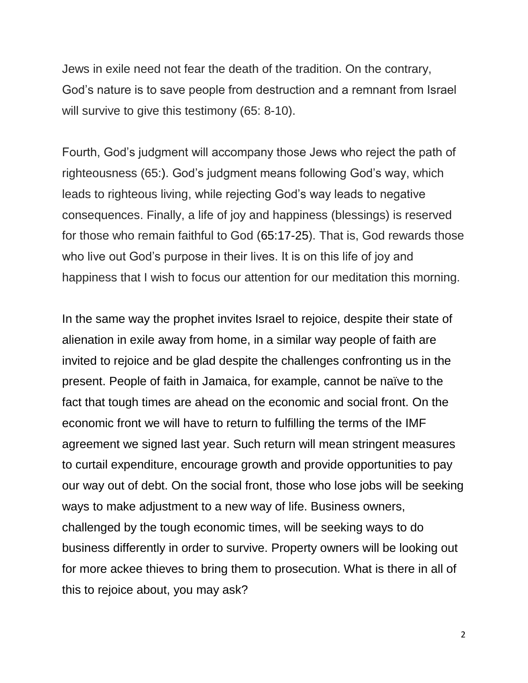Jews in exile need not fear the death of the tradition. On the contrary, God's nature is to save people from destruction and a remnant from Israel will survive to give this testimony (65: 8-10).

Fourth, God's judgment will accompany those Jews who reject the path of righteousness (65:). God's judgment means following God's way, which leads to righteous living, while rejecting God's way leads to negative consequences. Finally, a life of joy and happiness (blessings) is reserved for those who remain faithful to God [\(65:17-25\)](http://www.ccel.org/study/Isaiah_65:17-25). That is, God rewards those who live out God's purpose in their lives. It is on this life of joy and happiness that I wish to focus our attention for our meditation this morning.

In the same way the prophet invites Israel to rejoice, despite their state of alienation in exile away from home, in a similar way people of faith are invited to rejoice and be glad despite the challenges confronting us in the present. People of faith in Jamaica, for example, cannot be naïve to the fact that tough times are ahead on the economic and social front. On the economic front we will have to return to fulfilling the terms of the IMF agreement we signed last year. Such return will mean stringent measures to curtail expenditure, encourage growth and provide opportunities to pay our way out of debt. On the social front, those who lose jobs will be seeking ways to make adjustment to a new way of life. Business owners, challenged by the tough economic times, will be seeking ways to do business differently in order to survive. Property owners will be looking out for more ackee thieves to bring them to prosecution. What is there in all of this to rejoice about, you may ask?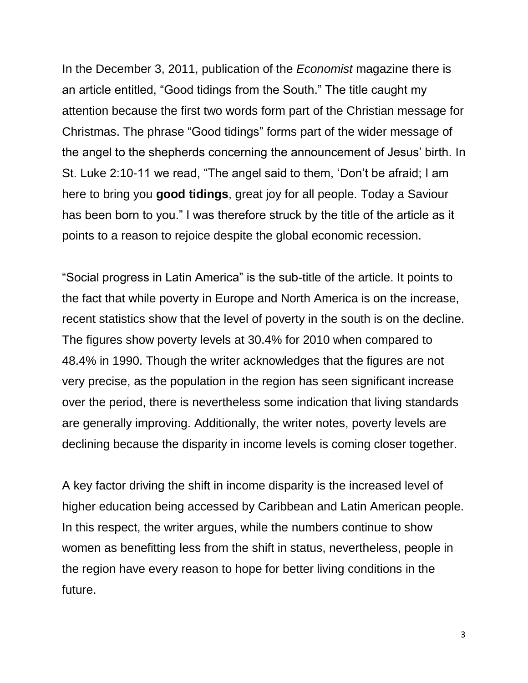In the December 3, 2011, publication of the *Economist* magazine there is an article entitled, "Good tidings from the South." The title caught my attention because the first two words form part of the Christian message for Christmas. The phrase "Good tidings" forms part of the wider message of the angel to the shepherds concerning the announcement of Jesus' birth. In St. Luke 2:10-11 we read, "The angel said to them, 'Don't be afraid; I am here to bring you **good tidings**, great joy for all people. Today a Saviour has been born to you." I was therefore struck by the title of the article as it points to a reason to rejoice despite the global economic recession.

"Social progress in Latin America" is the sub-title of the article. It points to the fact that while poverty in Europe and North America is on the increase, recent statistics show that the level of poverty in the south is on the decline. The figures show poverty levels at 30.4% for 2010 when compared to 48.4% in 1990. Though the writer acknowledges that the figures are not very precise, as the population in the region has seen significant increase over the period, there is nevertheless some indication that living standards are generally improving. Additionally, the writer notes, poverty levels are declining because the disparity in income levels is coming closer together.

A key factor driving the shift in income disparity is the increased level of higher education being accessed by Caribbean and Latin American people. In this respect, the writer argues, while the numbers continue to show women as benefitting less from the shift in status, nevertheless, people in the region have every reason to hope for better living conditions in the future.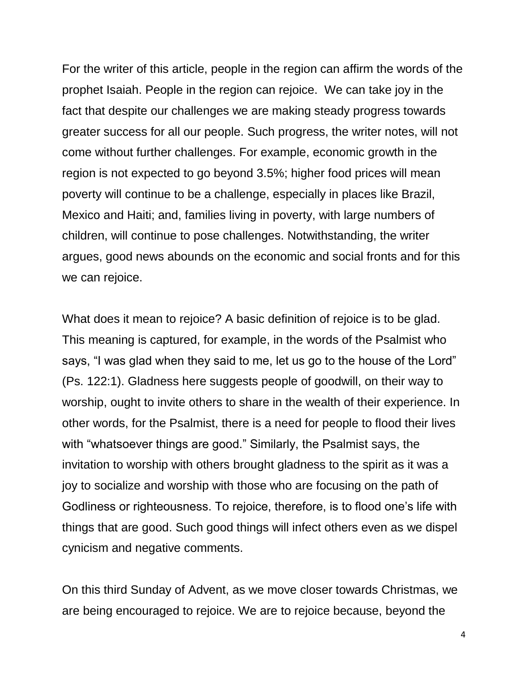For the writer of this article, people in the region can affirm the words of the prophet Isaiah. People in the region can rejoice. We can take joy in the fact that despite our challenges we are making steady progress towards greater success for all our people. Such progress, the writer notes, will not come without further challenges. For example, economic growth in the region is not expected to go beyond 3.5%; higher food prices will mean poverty will continue to be a challenge, especially in places like Brazil, Mexico and Haiti; and, families living in poverty, with large numbers of children, will continue to pose challenges. Notwithstanding, the writer argues, good news abounds on the economic and social fronts and for this we can rejoice.

What does it mean to rejoice? A basic definition of rejoice is to be glad. This meaning is captured, for example, in the words of the Psalmist who says, "I was glad when they said to me, let us go to the house of the Lord" (Ps. 122:1). Gladness here suggests people of goodwill, on their way to worship, ought to invite others to share in the wealth of their experience. In other words, for the Psalmist, there is a need for people to flood their lives with "whatsoever things are good." Similarly, the Psalmist says, the invitation to worship with others brought gladness to the spirit as it was a joy to socialize and worship with those who are focusing on the path of Godliness or righteousness. To rejoice, therefore, is to flood one's life with things that are good. Such good things will infect others even as we dispel cynicism and negative comments.

On this third Sunday of Advent, as we move closer towards Christmas, we are being encouraged to rejoice. We are to rejoice because, beyond the